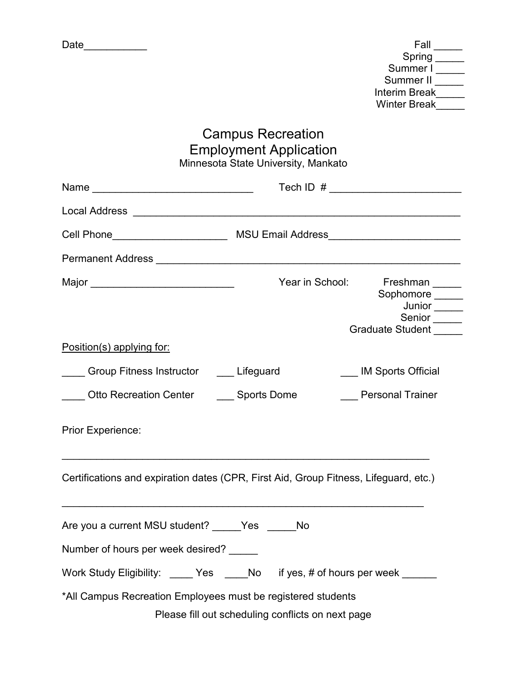| Date |
|------|
|------|

| Fall                 |
|----------------------|
| Spring               |
| Summer I             |
| Summer II            |
| <b>Interim Break</b> |
| <b>Winter Break</b>  |
|                      |

## Campus Recreation Employment Application Minnesota State University, Mankato

|                                                              | Year in School:<br>Freshman _____<br>Sophomore _____<br>Junior <sub>______</sub><br>Senior <sub>_____</sub><br>Graduate Student _____ |
|--------------------------------------------------------------|---------------------------------------------------------------------------------------------------------------------------------------|
| Position(s) applying for:                                    |                                                                                                                                       |
| Group Fitness Instructor _____ Lifeguard                     | <b>IM Sports Official</b>                                                                                                             |
| Otto Recreation Center ______ Sports Dome                    | <b>Personal Trainer</b>                                                                                                               |
| <b>Prior Experience:</b>                                     |                                                                                                                                       |
|                                                              | Certifications and expiration dates (CPR, First Aid, Group Fitness, Lifeguard, etc.)                                                  |
| Are you a current MSU student? Yes No                        |                                                                                                                                       |
| Number of hours per week desired?                            |                                                                                                                                       |
|                                                              | Work Study Eligibility: Yes No if yes, # of hours per week                                                                            |
| *All Campus Recreation Employees must be registered students | Please fill out scheduling conflicts on next page                                                                                     |